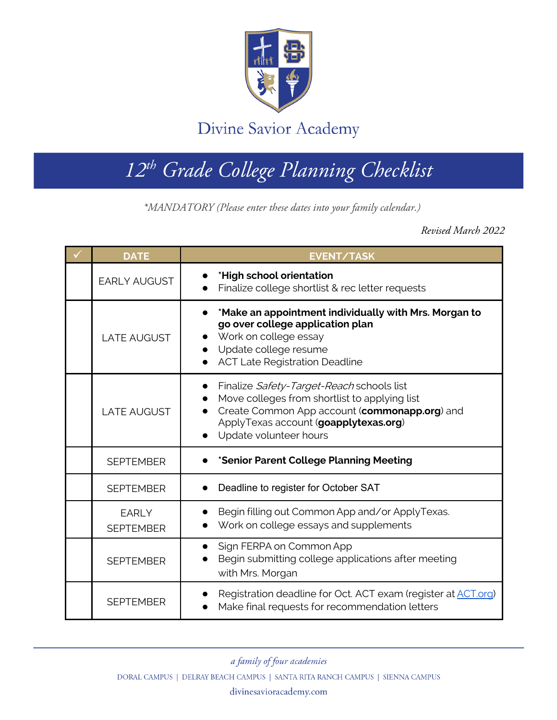

## Divine Savior Academy

## *12th Grade College Planning Checklist*

**\*MANDATORY (Please enter these dates into your family calendar.)**

*\*MANDATORY (Please enter these dates into your family calendar.)*

*Revised March 2022*

| <b>DATE</b>                      | <b>EVENT/TASK</b>                                                                                                                                                                                              |
|----------------------------------|----------------------------------------------------------------------------------------------------------------------------------------------------------------------------------------------------------------|
| <b>EARLY AUGUST</b>              | *High school orientation<br>Finalize college shortlist & rec letter requests                                                                                                                                   |
| <b>LATE AUGUST</b>               | *Make an appointment individually with Mrs. Morgan to<br>go over college application plan<br>Work on college essay<br>Update college resume<br><b>ACT Late Registration Deadline</b>                           |
| <b>LATE AUGUST</b>               | Finalize Safety-Target-Reach schools list<br>Move colleges from shortlist to applying list<br>Create Common App account (commonapp.org) and<br>ApplyTexas account (goapplytexas.org)<br>Update volunteer hours |
| <b>SEPTEMBER</b>                 | *Senior Parent College Planning Meeting                                                                                                                                                                        |
| <b>SEPTEMBER</b>                 | Deadline to register for October SAT                                                                                                                                                                           |
| <b>EARLY</b><br><b>SEPTEMBER</b> | Begin filling out Common App and/or ApplyTexas.<br>Work on college essays and supplements                                                                                                                      |
| <b>SEPTEMBER</b>                 | Sign FERPA on Common App<br>Begin submitting college applications after meeting<br>with Mrs. Morgan                                                                                                            |
| <b>SEPTEMBER</b>                 | Registration deadline for Oct. ACT exam (register at ACT.org)<br>Make final requests for recommendation letters                                                                                                |

a family of four academies

DORAL CAMPUS | DELRAY BEACH CAMPUS | SANTA RITA RANCH CAMPUS | SIENNA CAMPUS

divinesavioracademy.com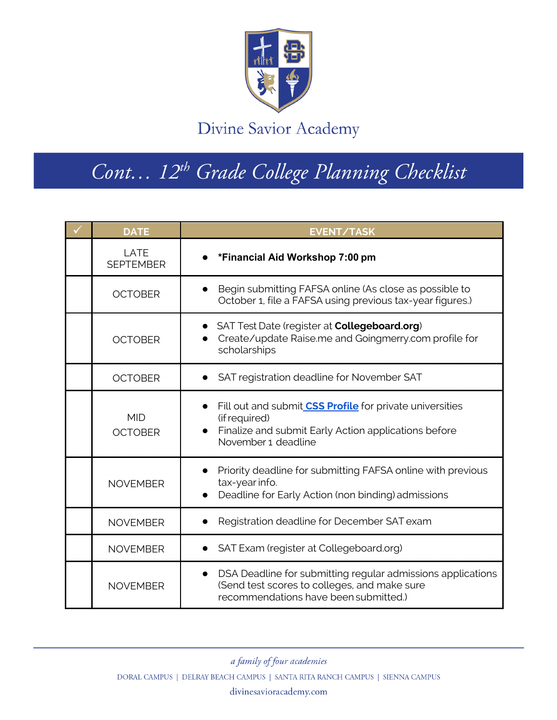

Divine Savior Academy

## *Cont… 12th Grade College Planning Checklist*

| <b>DATE</b>                  | <b>EVENT/TASK</b>                                                                                                                                                            |
|------------------------------|------------------------------------------------------------------------------------------------------------------------------------------------------------------------------|
| LATE<br><b>SEPTEMBER</b>     | *Financial Aid Workshop 7:00 pm                                                                                                                                              |
| <b>OCTOBER</b>               | Begin submitting FAFSA online (As close as possible to<br>October 1, file a FAFSA using previous tax-year figures.)                                                          |
| <b>OCTOBER</b>               | • SAT Test Date (register at <b>Collegeboard.org</b> )<br>Create/update Raise.me and Goingmerry.com profile for<br>scholarships                                              |
| <b>OCTOBER</b>               | SAT registration deadline for November SAT                                                                                                                                   |
| <b>MID</b><br><b>OCTOBER</b> | Fill out and submit <b>CSS Profile</b> for private universities<br>(if required)<br>Finalize and submit Early Action applications before<br>$\bullet$<br>November 1 deadline |
| <b>NOVEMBER</b>              | Priority deadline for submitting FAFSA online with previous<br>tax-year info.<br>Deadline for Early Action (non binding) admissions                                          |
| <b>NOVEMBER</b>              | Registration deadline for December SAT exam                                                                                                                                  |
| <b>NOVEMBER</b>              | SAT Exam (register at Collegeboard.org)                                                                                                                                      |
| <b>NOVEMBER</b>              | DSA Deadline for submitting regular admissions applications<br>$\bullet$<br>(Send test scores to colleges, and make sure<br>recommendations have been submitted.)            |